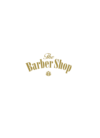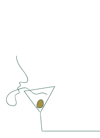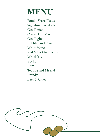# **MENU**

Food - Share Plates Signature Cocktails Gin Tonica Classic Gin Martinis Gin Flights Bubbles and Rose White Wine Red & Fortified Wine Whisk(e)y Vodka Rum Tequila and Mezcal Brandy Beer & Cider

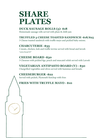# **SHARE PLATES**

# **DUCK SAUSAGE ROLLS (5)- \$18**

Homemade sausage rolls served with plum & chilli jam

#### **TRUFFLED 3 CHEESE TOASTED SANDWICH -\$18/\$25** 3 Cheese toasted sandwich with truffle mayo and pickled baby onions.

# **CHARCUTERIE -\$35**

2 meats, chicken, leek and truffle terrine served with bread and lavosh \*extra bread \$3\*

## **CHEESE BOARD -\$30**

3 Cheseses with pickled figs, peach and muscatel relish served with Lavosh

# **VEGETARIAN ANTIPASTO BOARD (V) - \$30**

Chargrilled vegetables and olives served with hummus and breads.

### **CHEESEBURGER -\$22**

Served with pickels, Plymouth Ketchup with fries

# **FRIES WITH TRUFFLE MAYO - \$10**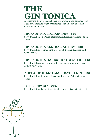# **THEFE GIN TONICA**

A refreshing drink of Spanish heritage, aromatic and delicious with a generous measure of gin ornamented with an array of garnishes and served with tonic.

## **HICKSON RD. LONDON DRY - \$20**

Served with Lemon, Olives, Marjoram and Artisan Classic London Tonic

### **HICKSON RD. AUSTRALIAN DRY - \$20**

Served with Finger Lime, Pink Grapefruit, Basil and Artisan Pink Citrus Tonic.

### **HICKSON RD. HARBOUR STRENGTH - \$20**

Served with Raspberries, Juniper Berries, Eucalyptus and Artisan Lemon Agave Tonic

### **ADELAIDE HILLS SMALL BATCH GIN - \$20**

Served with Blood Orange, Rosemary, Lime and Artisan Skinny Tonic.

#### **ESTER DRY GIN - \$20**

Served with Mandarin, Lime, Lime Leaf and Artisan Violette Tonic.

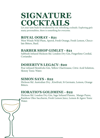# **SIGNATURE COCKTAILS**

Let your taste buds be awakened by our refreshing cocktails. Exploring gin's many personalities, there is something for everyone.

# **ROYAL OORAY - \$21**

West Winds Wild Plum, Aperol, Fresh Orange, Fresh Lemon, Chocolate Bitters, Basil.

# **BARBER SHOP GIMLET - \$21**

Saltbush Infused Hickson Rd. London Dry Gin, Fingerlime Cordial, Coriander.

# **DOHERTY'S LEGACY- \$20**

Pear infused Hendricks Gin, Yellow Chartreause, Citric Acid Solution, Skinny Tonic Water.

# **SIMON SAYS - \$22**

Hickson Rd. Australian Dry , Kiwifruit, St Germain, Lemon, Orange **Bitters** 

# **HORATIO'S GOLDMINE - \$22**

Hickson Rd. London Dry Gin, Sage Infused Pimms, Mango Puree, Rainbow Oleo Sacchurm, Fresh Lemon Juice, Lemon & Agave Tonic Water.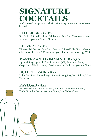# **SIGNATURE COCKTAILS**

A selcetion of our signature cocktails painstakingly made and drunk by our bartenders.

# **KILLER BEES - \$21**

Bee Pollen Infused Hickson Rd. London Dry Gin, Chamomile, Suze, Lemon, Angostura Bitters, Absinthe.

## **LIL VERTE - \$21**

Hickson Rd. London Dry Gin, Hazelnut Infused Lillet Blanc, Green Chartreuse, Pandan & Cucumber Syrup, Fresh Lime Juice, Egg White.

# **MASTER AND COMMANDER - \$30**

Sipsmith Dry, Sipsmith Sloe, Sipsmith VJOP, Falernum, Lime, Grapefruit, Allspice Honey, Passionfruit, Absinthe, Angostura Bitters.

## **BULLET TRAIN - \$22**

Roku Gin, Shiso Infused Regal Rogue Daring Dry, Nori Saline, Mirin Reduction.

## **PAYLOAD - \$21**

Hickson Rd. Australian Dry Gin, Fino Sherry, Banana Liqueur, Kaffir Lime Sherbet, Angostura Bitters, Vanilla Ice Cream.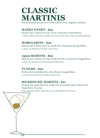# **CLASSIC MARTINIS**

Our dedication to some new, some old but never forgotten martinis.

### **HANKY PANKY - \$22**

Hickson Rd. London Dry Gin, Sweet Vermouth, Fernet Branca. A sultry cocktail invented at London's Savoy hotel, sweet with a minty and medicinal finish.

### **MARGUERITE - \$22**

Hickson Rd. London Dry Gin, Noilly Dry Vermouth, Orange Bitters A classic wet Martini served with a lemon twist.

#### **1950s MARTINI - \$22**

Hickson Rd. London Dry Gin, Noilly Prat Dry Vermouth, Orange Bitters. A classic dry Martini served with pimento stuffed olives.

### **TUXEDO - \$22**

Hickson Rd. Australian Gin, Fino Sherry, Orange Bitters. A savoury dry martini served with an orange twist.

### **HICKSON RD. MARTINI - \$21**

Hickson Rd. Australian Gin, Noilly Dry Vermouth, Native Thyme Oil, Pepperberry Tincture.

House signature martini made with our own gin distilled in The Rocks.

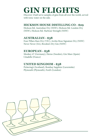# **GIN FLIGHTS**

Discover 4 half serve samples of gins from all over the world, served with tonic water on the side.

## **HICKSON HOUSE DISTILLING CO - \$29**

Hickson Rd. Australian Dry (NSW), Hickson Rd. London Dry (NSW), Hickson Rd. Harbour Strength (NSW)

### **AUSTRALIAN - \$38**

Four Pillars Rare Dry (VIC), Archie Rose Signature Dry (NSW) Never Never (SA), Brookie's Dry Gin (NSW)

### **EUROPEAN - \$38**

Monkey 47 (Germany), Herno (Sweden), Gin Mare (Spain) Citadelle (France)

### **UNITED KINGDOM - \$38**

Pickering's (Scotland), Bombay Sapphire (Laverstoke) Plymouth (Plymouth), Ford's (London)

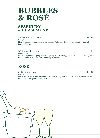# **BUBBLES & ROSÉ**

# **SPARKLING & CHAMPAGNE**

#### NV Monmousseau Brut 13 / 80 Loire, France Light golden colour, small long-lasting bubbles. Full and frothy on the front palate, with a soft integrated finish.

NV Ruinart R by Ruinart 150

Reims, France Pale yellow-gold hue. Lightly smoky and yeasty aromas with apple fruit accents follow through on a ripe and fruity palate with a crisp and long yeasty finish.

# **ROSÉ**

2020 Spinifex Rose 13 / 65 Barossa Valley, SA Full of texture and flavour, Spinifex's Rose is a refreshing wine that more than meets the expected heights of one of Spinfiex's artisanal blends.

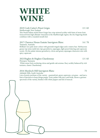# **WHITE WINE**

#### 2019 Cork Cutter's Pinot Grigio 13 / 65

Marlborough, New Zealand This North Italian styled Pinot Grigio has crisp mineral acidity with hints of stone fruit. Sourced from high altitude vineyards in the Marlborough region, the dry lingering finish combines with a rounded mouth feel.

#### 2017 Clarence House Esatate Sauvignon Blanc 14 / 70 Tasmania, Australia

Brilliant very pale straw colour with greenish tinged edges and a watery hue. Herbaceous grassy top notes meld into ripe gooseberry, asparagus, light pencil shaving and capsicum scents. On the palate intense gooseberry, citrus and grassy asparagus characters mix with spicy capsicum.

#### 2021Hughes & Hughes Chardonnay 13 / 65

Flowepot, Tasmania White stone fruit overlaying citrus and gentle oak aromas. Racy acidity balanced by rich textures, classic Chardonnay.

#### 2016 Murdoch Hill Sauvignon Blanc 75

Adelaide Hills, South Australia

Lots of pretty perfume of the variety - passionfruit, green capsicum, cut grass - and just a hint of spiciness to keep things peppy. Zesty palate rolls juicy and brisk, shows a greener spectrum of the variety, finishes with white pepper and lick of mezcal.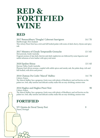# **RED & FORTIFIED WINE**

# **RED**

| 2017 Bannockburn 'Douglas' Cabernet Sauvignon<br>Marlborough, New Zealand                                                                                                                       | 14/70 |
|-------------------------------------------------------------------------------------------------------------------------------------------------------------------------------------------------|-------|
| This velvety Pinot Noir has a rich and full bodied palate with notes of dark cherry, thyme and spicy<br>oak                                                                                     |       |
| 2017 Ministry of Clouds Tempranillo Grenache<br>McLarenvale, South Australia                                                                                                                    | 13/65 |
| Fragrant aromas of ripe dark cherries and dark raspberries are followed by some liquorice and<br>subtle infusions of new leather with spicy end notes                                           |       |
| 2020 Epsilon Shiraz<br>Barossa Valley, South Australia                                                                                                                                          | 13/65 |
| Plummy fruit-driven aromas, coupled with subtle spices and smoky oak, the palate deep, rich and<br>full-bodied, with drive and power.                                                           |       |
| 2016 Chateau Du Cedre 'Marcel' Malbec<br>Cahors, France                                                                                                                                         | 14/70 |
| The Marcel Malbec has a gorgeous, fruity nose with plenty of blackberry and red berries on the<br>palate too. Soft, silky tannins and delicate acidity make this an easy-drinking, session wine |       |
| 2016 Hughes and Hughes Pinot Noir<br>Cahors, France                                                                                                                                             | 90    |
| The Marcel Malbec has a gorgeous, fruity nose with plenty of blackberry and red berries on the<br>palate too. Soft, silky tannins and delicate acidity make this an easy-drinking, session wine |       |
| <b>FORTHFIED</b>                                                                                                                                                                                |       |
| NV Quinta do Noval Tawny Port<br>Duoro, Portugal                                                                                                                                                | 9     |
|                                                                                                                                                                                                 |       |
|                                                                                                                                                                                                 |       |
|                                                                                                                                                                                                 |       |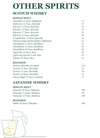# **OTHER SPIRITS**

# **SCOTCH WHISKY**

### **SINGLE MALT**

| Aberfeldy 12 Years, Highlands        | 13 |
|--------------------------------------|----|
| Aultimore 12 Years, Speyside         | 13 |
| Balvenie 12 Years, Speyside          | 14 |
| Balvenie 14 Years, Speyside          | 18 |
| Balvenie 17 Years, Speyside          | 25 |
| Balvenie 21 Years, Speyside          | 38 |
| Craigellachie 13 Years, Speyside     | 14 |
| Glenmorangie Quinta Ruban, Highlands | 15 |
| Glenfiddich 12 Years, Banffshire     | 14 |
| Glenfiddich 15 Years, Banffshire     | 20 |
| Glenfiddich 18 Years, Banffshire     | 28 |
| Lagavulin 16 Years, Islay,           | 18 |
| Laphroaig Quarter Cask, Islay        | 18 |
| Talisker 10 Years, Skye,             | 14 |
|                                      |    |

#### **BLENDED**

| Monkey Shoulder, Scotland       | 12.5 |
|---------------------------------|------|
| Dewar's 12 Year, Aberfeldy      | 13   |
| Dewar's 15 year, Aberfeldy      | 16   |
| Dewar's 18 Year, Aberfeldy      | 22   |
| Chivas Regal 12 Years, Scotland | 12   |

# **JAPANESE WHISKY**

#### **SINGLE MALT**

| Hakushu 18 Years, Hakushu  | 100 |
|----------------------------|-----|
| Yamazaki 12 years, Mishima | 70  |
| Yamazaki 18 Years, Mishima | 180 |

#### **BLENDED**

| Hibiki 30 Years, Hakushu |  |
|--------------------------|--|
|--------------------------|--|

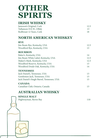# **OTHER SPIRITS**

# **IRISH WHISKY**

| Jameson's Original, Cork | 12.5 |
|--------------------------|------|
| Tullamore D.E.W., Offaly |      |
| Redbreast 12 Years, Cork | 18   |

# **NORTH AMERICAN WHISKEY**

| <b>RYE</b>                  |      |
|-----------------------------|------|
| Jim Beam Rye, Kentucky, USA | 12.5 |
| Woodford Rye, Kentucky, USA | 13   |
| <b>BOURBON</b>              |      |

| Baker's, Kentucky, USA              | 14   |
|-------------------------------------|------|
| Jim Beam White Label, Kentucky, USA | 12.5 |
| Maker's Mark, Kentucky, USA         | 12.5 |
| Woodford Reserve, Kentucky, USA     | 13   |
| Woodford Doule Oak, Kentucky, USA   | 14   |

#### **TENNESSEE**  Jack Daniel's, Tennessee, USA 13 Gentlemen Jack, Tennessee, USA 13 Jack Daniel's Single Barrel, Tennessee, USA 15 **CANADA**

Canadian Club, Ontario, Canada 13

# **AUSTRALIAN WHISKY**

### **SINGLE MALT**

| Highwayman, Byron Bay | 110 |
|-----------------------|-----|
|                       |     |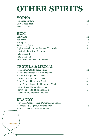# **OTHER SPIRITS**

# **VODKA**

| Finlandia, Finland | 12.5 |
|--------------------|------|
| Grey Goose, France |      |
| Reyka, Iceland     |      |

# **RUM**

| Bati White,                              | 12.5 |
|------------------------------------------|------|
| <b>Bati Dark</b>                         | 12.5 |
| Bati Spiced                              | 12.5 |
| Sailor Jerry Spiced,                     | 13   |
| Diplomatico Exclusiva Reserva, Venezuela | 15   |
| Gosling's Black Seal, Bermuda            | 14   |
| Ratu Spiced, Fiji                        | 13   |
| Ratu Dark, Fiji                          | 13   |
| Ron Zacapa 23 Years, Guatamala           | 18   |
|                                          |      |

# **TEQUILA & MEZCAL**

| Herradura Plata, Jalisco, Mexico        | 12.5 |
|-----------------------------------------|------|
| Herradura Reposado, Jalisco, Mexico     | 14   |
| Herradura Anjeo, Jalisco, Mexico        | 27   |
| Fortaleza Anjeo, Jalisco, Mexico        | 18   |
| Ocho Blanco, Highlands, Mexico          | 14   |
| Ocho Blanco Reposado, Highlands, Mexico | 18   |
| Patron Silver, Highlands Mexico         | 13   |
| Patron Reposado, Highlands Mexico       | 14   |
| Patron Anejo, Highlands Mexico          | 15   |

# **BRANDY**

| H by Hine Cognac, Grand Champagne, France |      |
|-------------------------------------------|------|
| Hennessy VS Cognac, Charente, France      | 12.5 |
| Hennessy VSOP, Charente, France           | 14   |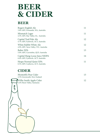# **BEER & CIDER**

# **BEER**

| Rogers English Ale<br>3.8% ABV, Fremantle, WA, Australia             | 11 |
|----------------------------------------------------------------------|----|
| Mismatch Lager<br>4.5% ABV, Hay Valley, SA, Australia                | 11 |
| Capital Trail Pale Ale<br>4.7% ABV, Fyshwick, ACT, Australia         | 12 |
| White Rabbit White Ale<br>4.9% ABV, Yarra Valley, VIC, Australia     | 12 |
| Balter XPA<br>5.0% ABV, Currimbin, QLD, Australia                    | 13 |
| Capital Hang Loose Juice NEIPA<br>6.0% ABV, Fyshwick, ACT, Australia | 14 |
| Heaps Normal Quiet XPA<br>0.5% ABV, Canberra, ACT, Australia         | 11 |

# **CIDER**

 $\zeta$ 

| Monteith's Pear Cider<br>4.5% Greymouth, New Zealand   |  |
|--------------------------------------------------------|--|
| Willie Smith Apple Cider<br>5.4% Huon Valley, Tasmania |  |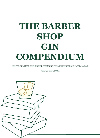# **THE BARBER SHOP GIN COMPENDIUM**

#### ASK FOR OUR EXTENSIVE GIN LIST, FEATURING OVER 700 EXPRESSIONS FROM ALL COR-

NERS OF THE GLOBE.

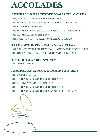# **ACCOLADES**

# **AUSTRALIAN BARTENDER MAGAZINE AWARDS**

2016, 2017, 2018 & 2019 'GIN BAR OF THE YEAR' 2017 MOST OUTSTANDING CONTRIBUTION - MIKE ENRIGHT 2015 NSW 'BAR OF THE YEAR' 2015 7TH MOST INFLUENTIAL BAR PERSONALITY – MIKE ENRIGHT 2015 BAR MANAGER OF THE YEAR 2014 OPERATOR OF THE YEAR - BARRELHOUSE GROUP

## **TALES OF THE COCKTAIL - NEW ORLEANS**

2017 & 2018 TOP TEN 'INTERNATIONAL HIGH VOLUME COCKTAIL BAR' 2014 TOP TEN 'BEST NEW INTERNATIONAL COCKTAIL BAR'

## **TIME OUT AWARDS SYDNEY**

2014 LEGEND AWARD

# **AUSTRALIAN LIQUOR INDUSTRY AWARDS**

2018 'BAR OF THE YEAR' 2015 HIGHLY COMMENDED 'BAR OF THE YEAR' 2014 'BEST NEW VENUE OR CONCEPT' 2014 HIGHLY COMMENDED 'BAR OF THE YEAR' 2014 HIGHLY COMMENDED 'BAR MANAGER OF THE YEAR'

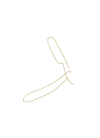